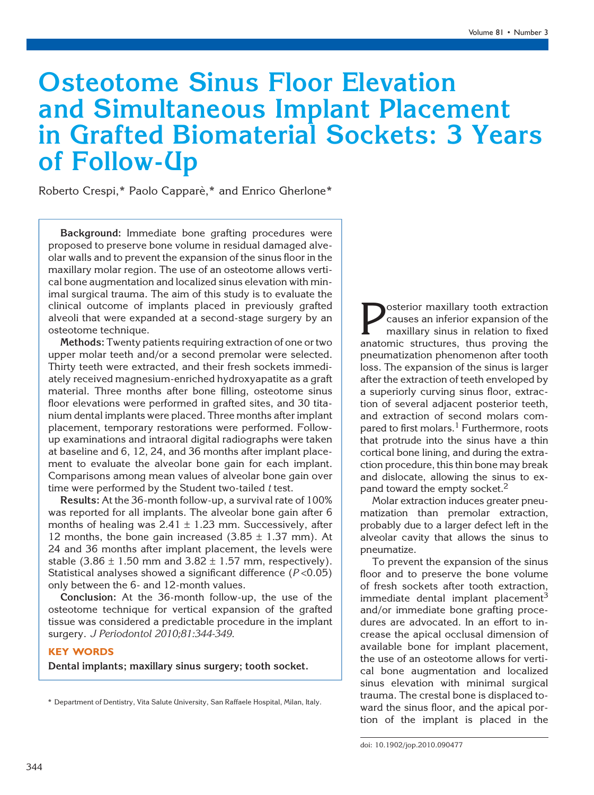# Osteotome Sinus Floor Elevation and Simultaneous Implant Placement in Grafted Biomaterial Sockets: 3 Years of Follow-Up

Roberto Crespi,\* Paolo Capparè,\* and Enrico Gherlone\*

Background: Immediate bone grafting procedures were proposed to preserve bone volume in residual damaged alveolar walls and to prevent the expansion of the sinus floor in the maxillary molar region. The use of an osteotome allows vertical bone augmentation and localized sinus elevation with minimal surgical trauma. The aim of this study is to evaluate the clinical outcome of implants placed in previously grafted alveoli that were expanded at a second-stage surgery by an osteotome technique.

Methods: Twenty patients requiring extraction of one or two upper molar teeth and/or a second premolar were selected. Thirty teeth were extracted, and their fresh sockets immediately received magnesium-enriched hydroxyapatite as a graft material. Three months after bone filling, osteotome sinus floor elevations were performed in grafted sites, and 30 titanium dental implants were placed. Three months after implant placement, temporary restorations were performed. Followup examinations and intraoral digital radiographs were taken at baseline and 6, 12, 24, and 36 months after implant placement to evaluate the alveolar bone gain for each implant. Comparisons among mean values of alveolar bone gain over time were performed by the Student two-tailed t test.

Results: At the 36-month follow-up, a survival rate of 100% was reported for all implants. The alveolar bone gain after 6 months of healing was  $2.41 \pm 1.23$  mm. Successively, after 12 months, the bone gain increased  $(3.85 \pm 1.37 \text{ mm})$ . At 24 and 36 months after implant placement, the levels were stable  $(3.86 \pm 1.50 \text{ mm}$  and  $3.82 \pm 1.57 \text{ mm}$ , respectively). Statistical analyses showed a significant difference  $(P<0.05)$ only between the 6- and 12-month values.

Conclusion: At the 36-month follow-up, the use of the osteotome technique for vertical expansion of the grafted tissue was considered a predictable procedure in the implant surgery. J Periodontol 2010;81:344-349.

#### KEY WORDS

Dental implants; maxillary sinus surgery; tooth socket.

**Posterior maxillary tooth extraction**<br>
causes an inferior expansion of the<br>
maxillary sinus in relation to fixed<br>
anatomic structures thus proving the causes an inferior expansion of the maxillary sinus in relation to fixed anatomic structures, thus proving the pneumatization phenomenon after tooth loss. The expansion of the sinus is larger after the extraction of teeth enveloped by a superiorly curving sinus floor, extraction of several adjacent posterior teeth, and extraction of second molars compared to first molars.<sup>1</sup> Furthermore, roots that protrude into the sinus have a thin cortical bone lining, and during the extraction procedure, this thin bone may break and dislocate, allowing the sinus to expand toward the empty socket.<sup>2</sup>

Molar extraction induces greater pneumatization than premolar extraction, probably due to a larger defect left in the alveolar cavity that allows the sinus to pneumatize.

To prevent the expansion of the sinus floor and to preserve the bone volume of fresh sockets after tooth extraction, immediate dental implant placement<sup>3</sup> and/or immediate bone grafting procedures are advocated. In an effort to increase the apical occlusal dimension of available bone for implant placement, the use of an osteotome allows for vertical bone augmentation and localized sinus elevation with minimal surgical trauma. The crestal bone is displaced toward the sinus floor, and the apical portion of the implant is placed in the

<sup>\*</sup> Department of Dentistry, Vita Salute University, San Raffaele Hospital, Milan, Italy.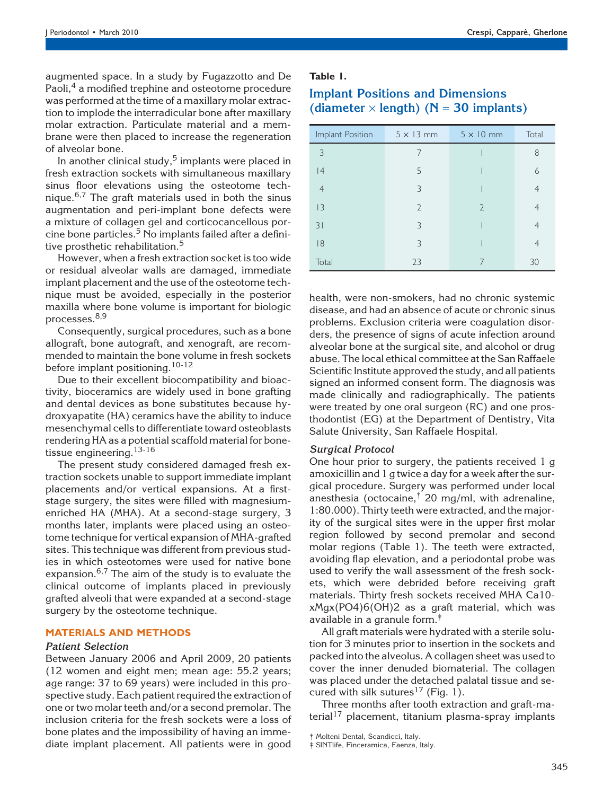augmented space. In a study by Fugazzotto and De Paoli, $4$  a modified trephine and osteotome procedure was performed at the time of a maxillary molar extraction to implode the interradicular bone after maxillary molar extraction. Particulate material and a membrane were then placed to increase the regeneration of alveolar bone.

In another clinical study, $5$  implants were placed in fresh extraction sockets with simultaneous maxillary sinus floor elevations using the osteotome technique.<sup>6,7</sup> The graft materials used in both the sinus augmentation and peri-implant bone defects were a mixture of collagen gel and corticocancellous porcine bone particles.<sup>5</sup> No implants failed after a definitive prosthetic rehabilitation.<sup>5</sup>

However, when a fresh extraction socket is too wide or residual alveolar walls are damaged, immediate implant placement and the use of the osteotome technique must be avoided, especially in the posterior maxilla where bone volume is important for biologic processes.<sup>8,9</sup>

Consequently, surgical procedures, such as a bone allograft, bone autograft, and xenograft, are recommended to maintain the bone volume in fresh sockets before implant positioning.<sup>10-12</sup>

Due to their excellent biocompatibility and bioactivity, bioceramics are widely used in bone grafting and dental devices as bone substitutes because hydroxyapatite (HA) ceramics have the ability to induce mesenchymal cells to differentiate toward osteoblasts rendering HA as a potential scaffold material for bonetissue engineering.<sup>13-16</sup>

The present study considered damaged fresh extraction sockets unable to support immediate implant placements and/or vertical expansions. At a firststage surgery, the sites were filled with magnesiumenriched HA (MHA). At a second-stage surgery, 3 months later, implants were placed using an osteotome technique for vertical expansion of MHA-grafted sites. This technique was different from previous studies in which osteotomes were used for native bone expansion.<sup>6,7</sup> The aim of the study is to evaluate the clinical outcome of implants placed in previously grafted alveoli that were expanded at a second-stage surgery by the osteotome technique.

#### MATERIALS AND METHODS

#### Patient Selection

Between January 2006 and April 2009, 20 patients (12 women and eight men; mean age: 55.2 years; age range: 37 to 69 years) were included in this prospective study. Each patient required the extraction of one or two molar teeth and/or a second premolar. The inclusion criteria for the fresh sockets were a loss of bone plates and the impossibility of having an immediate implant placement. All patients were in good

#### Table 1.

# Implant Positions and Dimensions (diameter  $\times$  length) (N = 30 implants)

| Implant Position | $5 \times 13$ mm | $5 \times 10$ mm | Total |
|------------------|------------------|------------------|-------|
| 3                |                  |                  | 8     |
| 4                | 5                |                  | 6     |
| $\overline{4}$   | 3                |                  | 4     |
| 3                | $\overline{2}$   | $\overline{2}$   | 4     |
| 31               | 3                |                  | 4     |
| 8                | 3                |                  | 4     |
| Total            | 23               |                  | 30    |

health, were non-smokers, had no chronic systemic disease, and had an absence of acute or chronic sinus problems. Exclusion criteria were coagulation disorders, the presence of signs of acute infection around alveolar bone at the surgical site, and alcohol or drug abuse. The local ethical committee at the San Raffaele Scientific Institute approved the study, and all patients signed an informed consent form. The diagnosis was made clinically and radiographically. The patients were treated by one oral surgeon (RC) and one prosthodontist (EG) at the Department of Dentistry, Vita Salute University, San Raffaele Hospital.

#### Surgical Protocol

One hour prior to surgery, the patients received 1 g amoxicillin and 1 g twice a day for a week after the surgical procedure. Surgery was performed under local anesthesia (octocaine, $\bar{ }$  20 mg/ml, with adrenaline, 1:80.000). Thirty teeth were extracted, and the majority of the surgical sites were in the upper first molar region followed by second premolar and second molar regions (Table 1). The teeth were extracted, avoiding flap elevation, and a periodontal probe was used to verify the wall assessment of the fresh sockets, which were debrided before receiving graft materials. Thirty fresh sockets received MHA Ca10 xMgx(PO4)6(OH)2 as a graft material, which was available in a granule form.‡

All graft materials were hydrated with a sterile solution for 3 minutes prior to insertion in the sockets and packed into the alveolus. A collagen sheet was used to cover the inner denuded biomaterial. The collagen was placed under the detached palatal tissue and secured with silk sutures<sup>17</sup> (Fig. 1).

Three months after tooth extraction and graft-ma- $\text{terial}^{17}$  placement, titanium plasma-spray implants

Molteni Dental, Scandicci, Italy.

<sup>‡</sup> SINTlife, Finceramica, Faenza, Italy.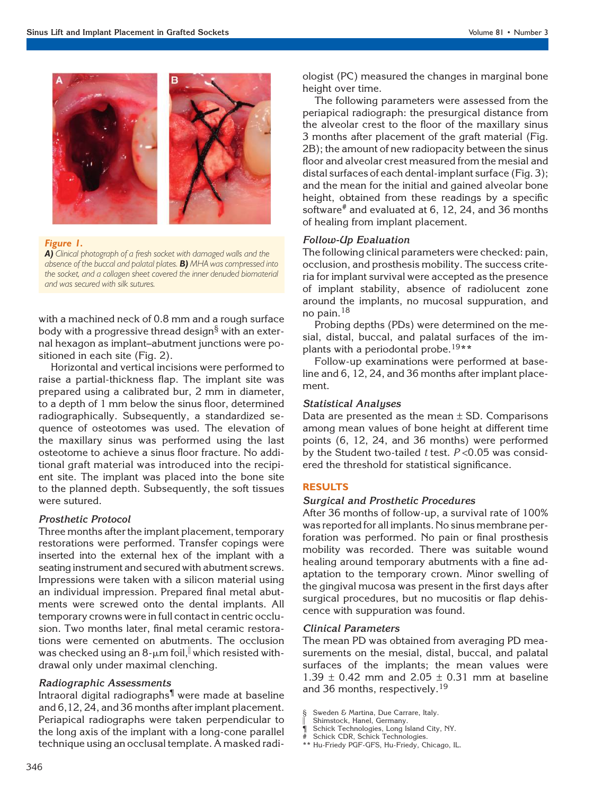

Figure 1.

A) Clinical photograph of a fresh socket with damaged walls and the absence of the buccal and palatal plates. **B)** MHA was compressed into the socket, and a collagen sheet covered the inner denuded biomaterial and was secured with silk sutures.

with a machined neck of 0.8 mm and a rough surface body with a progressive thread design<sup>§</sup> with an external hexagon as implant–abutment junctions were positioned in each site (Fig. 2).

Horizontal and vertical incisions were performed to raise a partial-thickness flap. The implant site was prepared using a calibrated bur, 2 mm in diameter, to a depth of 1 mm below the sinus floor, determined radiographically. Subsequently, a standardized sequence of osteotomes was used. The elevation of the maxillary sinus was performed using the last osteotome to achieve a sinus floor fracture. No additional graft material was introduced into the recipient site. The implant was placed into the bone site to the planned depth. Subsequently, the soft tissues were sutured.

# Prosthetic Protocol

Three months after the implant placement, temporary restorations were performed. Transfer copings were inserted into the external hex of the implant with a seating instrument and secured with abutment screws. Impressions were taken with a silicon material using an individual impression. Prepared final metal abutments were screwed onto the dental implants. All temporary crowns were in full contact in centric occlusion. Two months later, final metal ceramic restorations were cemented on abutments. The occlusion was checked using an  $8\text{-}\mu\text{m}$  foil, which resisted withdrawal only under maximal clenching.

## Radiographic Assessments

Intraoral digital radiographs¶ were made at baseline and 6,12, 24, and 36 months after implant placement. Periapical radiographs were taken perpendicular to the long axis of the implant with a long-cone parallel technique using an occlusal template. A masked radiologist (PC) measured the changes in marginal bone height over time.

The following parameters were assessed from the periapical radiograph: the presurgical distance from the alveolar crest to the floor of the maxillary sinus 3 months after placement of the graft material (Fig. 2B); the amount of new radiopacity between the sinus floor and alveolar crest measured from the mesial and distal surfaces of each dental-implant surface (Fig. 3); and the mean for the initial and gained alveolar bone height, obtained from these readings by a specific software $^*$  and evaluated at 6, 12, 24, and 36 months of healing from implant placement.

#### Follow-Up Evaluation

The following clinical parameters were checked: pain, occlusion, and prosthesis mobility. The success criteria for implant survival were accepted as the presence of implant stability, absence of radiolucent zone around the implants, no mucosal suppuration, and no pain.<sup>18</sup>

Probing depths (PDs) were determined on the mesial, distal, buccal, and palatal surfaces of the implants with a periodontal probe.<sup>19\*\*</sup>

Follow-up examinations were performed at baseline and 6, 12, 24, and 36 months after implant placement.

#### Statistical Analyses

Data are presented as the mean  $\pm$  SD. Comparisons among mean values of bone height at different time points (6, 12, 24, and 36 months) were performed by the Student two-tailed  $t$  test.  $P < 0.05$  was considered the threshold for statistical significance.

#### RESULTS

#### Surgical and Prosthetic Procedures

After 36 months of follow-up, a survival rate of 100% was reported for all implants. No sinus membrane perforation was performed. No pain or final prosthesis mobility was recorded. There was suitable wound healing around temporary abutments with a fine adaptation to the temporary crown. Minor swelling of the gingival mucosa was present in the first days after surgical procedures, but no mucositis or flap dehiscence with suppuration was found.

#### Clinical Parameters

The mean PD was obtained from averaging PD measurements on the mesial, distal, buccal, and palatal surfaces of the implants; the mean values were 1.39  $\pm$  0.42 mm and 2.05  $\pm$  0.31 mm at baseline and 36 months, respectively.<sup>19</sup>

- Shimstock, Hanel, Germany.<br>¶ Schick Technologies, Long Is
- Schick Technologies, Long Island City, NY.
- # Schick CDR, Schick Technologies.<br>\*\* Hu-Friedy PGE-GES, Hu-Friedy C
- Hu-Friedy PGF-GFS, Hu-Friedy, Chicago, IL.

<sup>§</sup> Sweden & Martina, Due Carrare, Italy.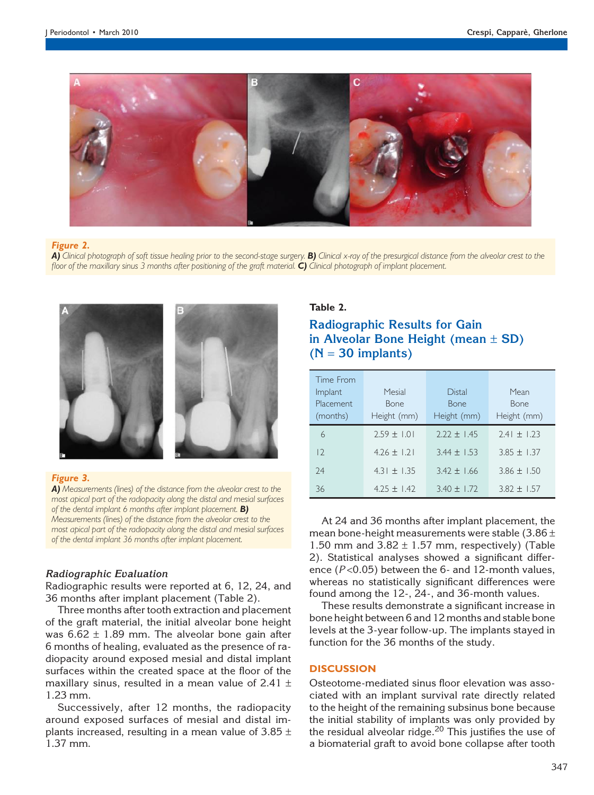

#### Figure 2.

A) Clinical photograph of soft tissue healing prior to the second-stage surgery. B) Clinical x-ray of the presurgical distance from the alveolar crest to the floor of the maxillary sinus 3 months after positioning of the graft material. C) Clinical photograph of implant placement.



#### Figure 3.

A) Measurements (lines) of the distance from the alveolar crest to the most apical part of the radiopacity along the distal and mesial surfaces of the dental implant 6 months after implant placement. B) Measurements (lines) of the distance from the alveolar crest to the most apical part of the radiopacity along the distal and mesial surfaces of the dental implant 36 months after implant placement.

#### Radiographic Evaluation

Radiographic results were reported at 6, 12, 24, and 36 months after implant placement (Table 2).

Three months after tooth extraction and placement of the graft material, the initial alveolar bone height was  $6.62 \pm 1.89$  mm. The alveolar bone gain after 6 months of healing, evaluated as the presence of radiopacity around exposed mesial and distal implant surfaces within the created space at the floor of the maxillary sinus, resulted in a mean value of 2.41  $\pm$ 1.23 mm.

Successively, after 12 months, the radiopacity around exposed surfaces of mesial and distal implants increased, resulting in a mean value of  $3.85 \pm$ 1.37 mm.

## Table 2.

# Radiographic Results for Gain in Alveolar Bone Height (mean  $\pm$  SD)  $(N = 30$  implants)

| Time From |                 |                 |                 |
|-----------|-----------------|-----------------|-----------------|
| Implant   | Mesial          | Distal          | Mean            |
| Placement | <b>Bone</b>     | <b>Bone</b>     | <b>Bone</b>     |
| (months)  | Height (mm)     | Height (mm)     | Height (mm)     |
| 6         | $7.59 + 1.01$   | $2.22 + 1.45$   | $7.41 + 1.73$   |
| 2         | $4.26 + 1.21$   | $3.44 \pm 1.53$ | $3.85 \pm 1.37$ |
| 74        | $4.31 + 1.35$   | $3.42 + 1.66$   | $3.86 \pm 1.50$ |
| 36        | $4.25 \pm 1.42$ | $3.40 \pm 1.72$ | $3.82 \pm 1.57$ |

At 24 and 36 months after implant placement, the mean bone-height measurements were stable (3.86 – 1.50 mm and  $3.82 \pm 1.57$  mm, respectively) (Table 2). Statistical analyses showed a significant difference ( $P < 0.05$ ) between the 6- and 12-month values, whereas no statistically significant differences were found among the 12-, 24-, and 36-month values.

These results demonstrate a significant increase in bone height between 6 and 12 months and stable bone levels at the 3-year follow-up. The implants stayed in function for the 36 months of the study.

#### **DISCUSSION**

Osteotome-mediated sinus floor elevation was associated with an implant survival rate directly related to the height of the remaining subsinus bone because the initial stability of implants was only provided by the residual alveolar ridge. $20$  This justifies the use of a biomaterial graft to avoid bone collapse after tooth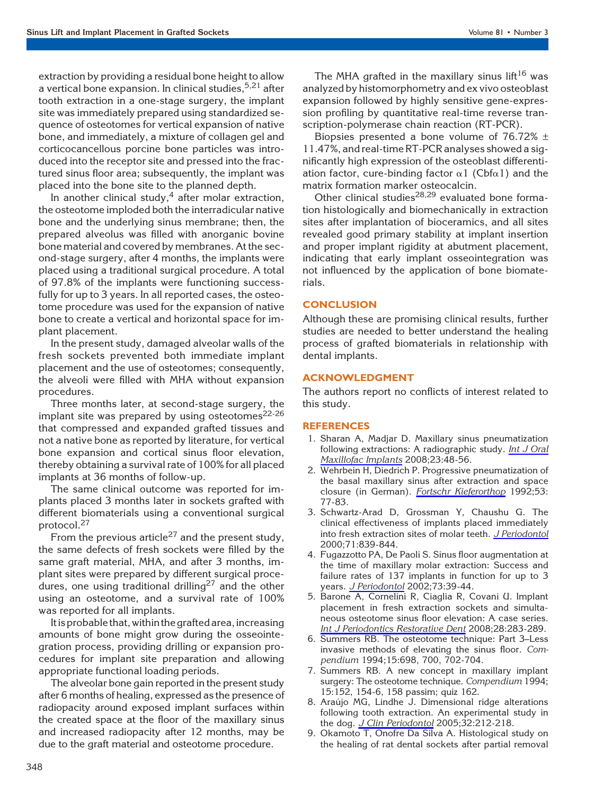extraction by providing a residual bone height to allow a vertical bone expansion. In clinical studies, <sup>5,21</sup> after tooth extraction in a one-stage surgery, the implant site was immediately prepared using standardized sequence of osteotomes for vertical expansion of native bone, and immediately, a mixture of collagen gel and corticocancellous porcine bone particles was introduced into the receptor site and pressed into the fractured sinus floor area; subsequently, the implant was placed into the bone site to the planned depth.

In another clinical study, $4$  after molar extraction, the osteotome imploded both the interradicular native bone and the underlying sinus membrane; then, the prepared alveolus was filled with anorganic bovine bone material and covered by membranes. At the second-stage surgery, after 4 months, the implants were placed using a traditional surgical procedure. A total of 97.8% of the implants were functioning successfully for up to 3 years. In all reported cases, the osteotome procedure was used for the expansion of native bone to create a vertical and horizontal space for implant placement.

In the present study, damaged alveolar walls of the fresh sockets prevented both immediate implant placement and the use of osteotomes; consequently, the alveoli were filled with MHA without expansion procedures.

Three months later, at second-stage surgery, the implant site was prepared by using osteotomes<sup>22-26</sup> that compressed and expanded grafted tissues and not a native bone as reported by literature, for vertical bone expansion and cortical sinus floor elevation, thereby obtaining a survival rate of 100% for all placed implants at 36 months of follow-up.

The same clinical outcome was reported for implants placed 3 months later in sockets grafted with different biomaterials using a conventional surgical protocol.<sup>27</sup>

From the previous article<sup>27</sup> and the present study, the same defects of fresh sockets were filled by the same graft material, MHA, and after 3 months, implant sites were prepared by different surgical procedures, one using traditional drilling<sup>27</sup> and the other using an osteotome, and a survival rate of 100% was reported for all implants.

It is probable that, within the grafted area, increasing amounts of bone might grow during the osseointegration process, providing drilling or expansion procedures for implant site preparation and allowing appropriate functional loading periods.

The alveolar bone gain reported in the present study after 6 months of healing, expressed as the presence of radiopacity around exposed implant surfaces within the created space at the floor of the maxillary sinus and increased radiopacity after 12 months, may be due to the graft material and osteotome procedure.

The MHA grafted in the maxillary sinus lift<sup>16</sup> was analyzed by histomorphometry and ex vivo osteoblast expansion followed by highly sensitive gene-expression profiling by quantitative real-time reverse transcription-polymerase chain reaction (RT-PCR).

Biopsies presented a bone volume of  $76.72\%$   $\pm$ 11.47%, and real-time RT-PCR analyses showed a significantly high expression of the osteoblast differentiation factor, cure-binding factor  $\alpha$ 1 (Cbf $\alpha$ 1) and the matrix formation marker osteocalcin.

Other clinical studies $^{28,29}$  evaluated bone formation histologically and biomechanically in extraction sites after implantation of bioceramics, and all sites revealed good primary stability at implant insertion and proper implant rigidity at abutment placement, indicating that early implant osseointegration was not influenced by the application of bone biomaterials.

## **CONCLUSION**

Although these are promising clinical results, further studies are needed to better understand the healing process of grafted biomaterials in relationship with dental implants.

## ACKNOWLEDGMENT

The authors report no conflicts of interest related to this study.

#### REFERENCES

- 1. Sharan A, Madjar D. Maxillary sinus pneumatization following extractions: A radiographic study. Int J Oral Maxillofac Implants 2008;23:48-56.
- 2. Wehrbein H, Diedrich P. Progressive pneumatization of the basal maxillary sinus after extraction and space closure (in German). Fortschr Kieferorthop 1992;53: 77-83.
- 3. Schwartz-Arad D, Grossman Y, Chaushu G. The clinical effectiveness of implants placed immediately into fresh extraction sites of molar teeth. J Periodontol 2000;71:839-844.
- 4. Fugazzotto PA, De Paoli S. Sinus floor augmentation at the time of maxillary molar extraction: Success and failure rates of 137 implants in function for up to 3 years. J Periodontol 2002;73:39-44.
- 5. Barone A, Cornelini R, Ciaglia R, Covani U. Implant placement in fresh extraction sockets and simultaneous osteotome sinus floor elevation: A case series. Int J Periodontics Restorative Dent 2008;28:283-289.
- 6. Summers RB. The osteotome technique: Part 3–Less invasive methods of elevating the sinus floor. Compendium 1994;15:698, 700, 702-704.
- 7. Summers RB. A new concept in maxillary implant surgery: The osteotome technique. Compendium 1994; 15:152, 154-6, 158 passim; quiz 162.
- 8. Araújo MG, Lindhe J. Dimensional ridge alterations following tooth extraction. An experimental study in the dog. *J Clin Periodontol* 2005;32:212-218.
- 9. Okamoto T, Onofre Da Silva A. Histological study on the healing of rat dental sockets after partial removal